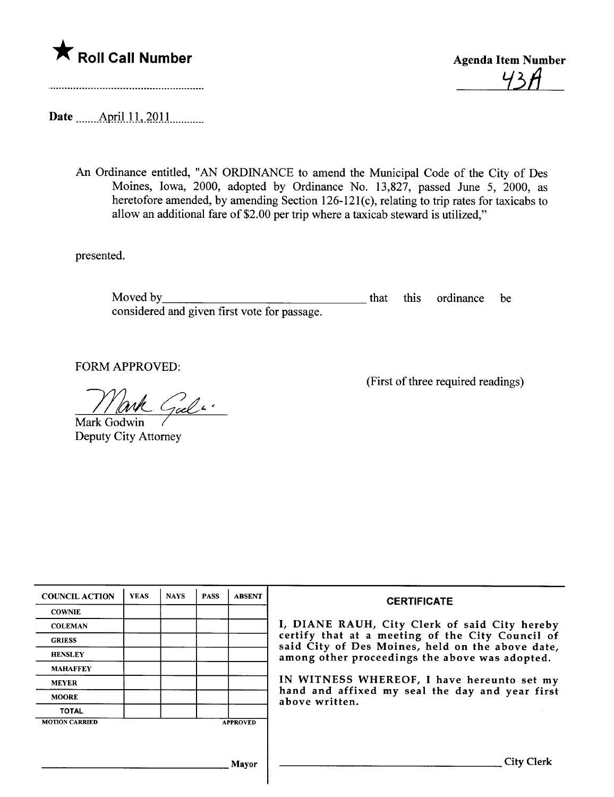

<u>43H</u>

Date \_\_\_\_\_\_ April 11, 2011 \_\_\_\_\_\_\_\_

An Ordinance entitled, "AN ORDINANCE to amend the Municipal Code of the City of Des Moines, Iowa, 2000, adopted by Ordinance No. 13,827, passed June 5, 2000, as heretofore amended, by amending Section 126-121(c), relating to trip rates for taxicabs to allow an additional fare of \$2.00 per trip where a taxicab steward is utilized,"

presented.

Moved by considered and given first vote for passage. that this ordinance be

FORM APPROVED:

Gal "

Mark Godwin Deputy City Attorney

(First of three required readings)

| <b>COUNCIL ACTION</b> | <b>YEAS</b> | <b>NAYS</b> | <b>PASS</b> | <b>ABSENT</b>   | <b>CERTIFICATE</b>                                                                                                                                                                                      |  |  |
|-----------------------|-------------|-------------|-------------|-----------------|---------------------------------------------------------------------------------------------------------------------------------------------------------------------------------------------------------|--|--|
| <b>COWNIE</b>         |             |             |             |                 |                                                                                                                                                                                                         |  |  |
| <b>COLEMAN</b>        |             |             |             |                 | I, DIANE RAUH, City Clerk of said City hereby<br>certify that at a meeting of the City Council of<br>said City of Des Moines, held on the above date,<br>among other proceedings the above was adopted. |  |  |
| <b>GRIESS</b>         |             |             |             |                 |                                                                                                                                                                                                         |  |  |
| <b>HENSLEY</b>        |             |             |             |                 |                                                                                                                                                                                                         |  |  |
| <b>MAHAFFEY</b>       |             |             |             |                 |                                                                                                                                                                                                         |  |  |
| <b>MEYER</b>          |             |             |             |                 | IN WITNESS WHEREOF, I have hereunto set my<br>hand and affixed my seal the day and year first<br>above written.                                                                                         |  |  |
| <b>MOORE</b>          |             |             |             |                 |                                                                                                                                                                                                         |  |  |
| <b>TOTAL</b>          |             |             |             |                 |                                                                                                                                                                                                         |  |  |
| <b>MOTION CARRIED</b> |             |             |             | <b>APPROVED</b> |                                                                                                                                                                                                         |  |  |
|                       |             |             |             |                 |                                                                                                                                                                                                         |  |  |
|                       |             |             |             |                 |                                                                                                                                                                                                         |  |  |
|                       |             |             |             | <b>Mayor</b>    | <b>City Clerk</b>                                                                                                                                                                                       |  |  |
|                       |             |             |             |                 |                                                                                                                                                                                                         |  |  |